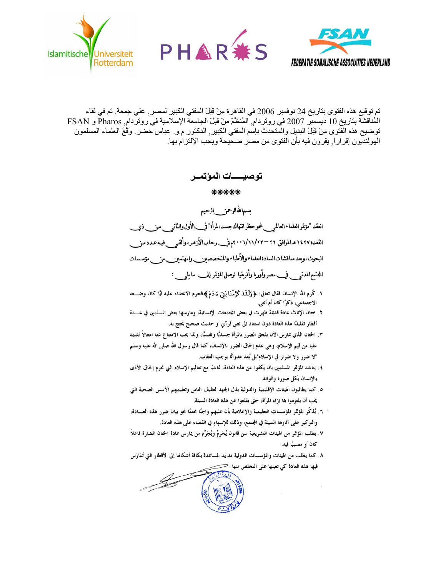





تم توقيع هذه الفتوى بتاريخ 24 نوفمبر 2006 في القاهرة مِنْ قِبَلْ المفتي الكبير لمصر ¸ علي جمعة. تم في لقاء الْمُناقَشَةَ بِتَارِيخِ 10 ديسمبر 2007 في روتردام ٱلمُنَظَّمْ مِنْ قِبَلْ الجامعةَ الإسلامية في روتردام, Pharos و FSAN توضيح هذه الفَتوى مِنْ قِبَلْ البديل والمُتحدث بإسم المفتي الكبير ٍ الدكتور م و ـ عباس خضر ـ وَقَعَ العلماء المسلمون الهولنديون إقرار ًا. يقرون فيه بأن الفتوى من مصر ٍ صحيحة ويجب الإلتز ام بها.

توصيــــــات المؤتمـــر

\*\*\*\*\*

سماللهالرحمز \_الرحيم

انعقد "مؤتمرالعلماءالعالمى فحوحظراتهاك جسدالمرأة" فيب الأول والثانم للمسمون في القعدة ١٤٢٧ هـ الموافق ٢٢–٢١/١/٢٣-٢٠م في\_رحاب1لأزهر، وألقـــ فيــه عـدد مـز البحوث، وبعد مناقشات السادةالعلماء والأطباء والمتخصصين والمهتمين مزمن وموسسات المجتمع|لمدن<sub>ق في</sub>مصروأوربا وأفريقيا توصل|لمؤتمر إلمـــــ مايل<sub>قـــ</sub> :

- ١. كَرِم الله الإنسان فقال تعالى: ﴿وَلَقَدْ كَرَّمْنَا بَنِيٓ ءَادَمَ﴾فحرم الاعتداء عليه أيًّا كان وضـــعه الاجتماعي، ذكرًا كان أم أنثى.
- ٢. ختان الإناث عادة قديمة ظهرت في بعض المجتمعات الإنسانية، ومارسها بعض المسلمين في عــــدة أقطار تقليدًا لهذه العادة دون استناد إلى نص قرآني أو حديث صحيح يحتج به.
- ٣. الحتان الذي يمارس الآن يلحق الضرر بالمرأة جسديًّا ونفسيًّا، ولذا يجب الامتناع عنه امتثالاً لقيمة عليا من قيم الإسلام، وهي عدم إلحاق الضرر بالإنسان، كما قال رسول الله صلى الله عليه وسلم "لا ضرر ولا ضرار في الإسلام"بل يُعد عدوانًا يوجب العقاب.
- ٤ ـ يناشد المؤتمر المسلمين بأن يكفوا عن هذه العادة، تماشيًا مع تعاليم الإسلام التي تحرم إلحاق الأذي بالإنسان بكل صوره وألوانه.
- ٥. كما يطالبون الهيئات الإقليمية والدولية بذل الجهد لتثقيف الناس وتعليمهم الأسس الصحية التي يجب أن يلتزموا بما إزاء المرأة، حتى يقلعوا عن هذه العادة السيئة.
- ° ٦. يُذكّر المؤتمر المؤسسات التعليمية والإعلامية بأن عليهم واجبًا محتمًا نحو بيان ضرر هذه العــــادة، والتركيز على آثارها السيئة في المجتمع، وذلك للإسهام في القضاء على هذه العادة.
- ٧. يطلب المؤتمر من الهيئات التشريعية سن قانون يُحَرمٌ ويُجَرِّم من يمارس عادة الحتان الضارة فاعلاً كان أو متسببًا فيه.
- ٨. كما يطلب من الهيئات والمؤسسات الدولية مد يد المساعدة بكافة أشكالها إلى الأقطار التي تُمَارَس فيها هذه العادة كي تعينها على التخلص منها. <</